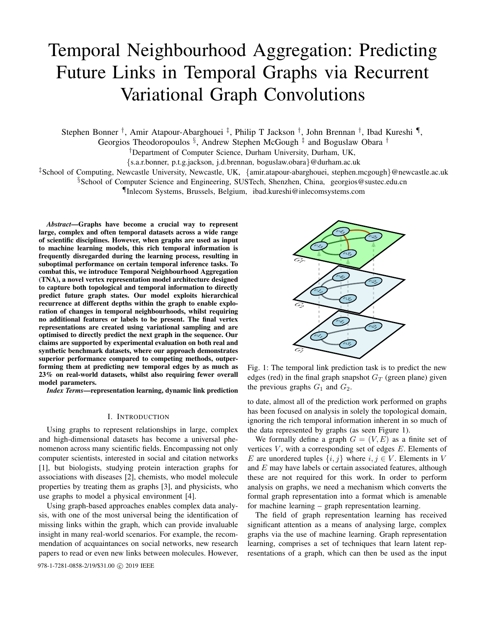# Temporal Neighbourhood Aggregation: Predicting Future Links in Temporal Graphs via Recurrent Variational Graph Convolutions

Stephen Bonner<sup>†</sup>, Amir Atapour-Abarghouei<sup>‡</sup>, Philip T Jackson<sup>†</sup>, John Brennan<sup>†</sup>, Ibad Kureshi<sup>¶</sup>,

Georgios Theodoropoulos §, Andrew Stephen McGough<sup>‡</sup> and Boguslaw Obara<sup>†</sup>

†Department of Computer Science, Durham University, Durham, UK,

{s.a.r.bonner, p.t.g.jackson, j.d.brennan, boguslaw.obara}@durham.ac.uk

‡School of Computing, Newcastle University, Newcastle, UK, {amir.atapour-abarghouei, stephen.mcgough}@newcastle.ac.uk

§School of Computer Science and Engineering, SUSTech, Shenzhen, China, georgios@sustec.edu.cn

¶Inlecom Systems, Brussels, Belgium, ibad.kureshi@inlecomsystems.com

*Abstract*—Graphs have become a crucial way to represent large, complex and often temporal datasets across a wide range of scientific disciplines. However, when graphs are used as input to machine learning models, this rich temporal information is frequently disregarded during the learning process, resulting in suboptimal performance on certain temporal inference tasks. To combat this, we introduce Temporal Neighbourhood Aggregation (TNA), a novel vertex representation model architecture designed to capture both topological and temporal information to directly predict future graph states. Our model exploits hierarchical recurrence at different depths within the graph to enable exploration of changes in temporal neighbourhoods, whilst requiring no additional features or labels to be present. The final vertex representations are created using variational sampling and are optimised to directly predict the next graph in the sequence. Our claims are supported by experimental evaluation on both real and synthetic benchmark datasets, where our approach demonstrates superior performance compared to competing methods, outperforming them at predicting new temporal edges by as much as 23% on real-world datasets, whilst also requiring fewer overall model parameters.

*Index Terms*—representation learning, dynamic link prediction

## I. INTRODUCTION

Using graphs to represent relationships in large, complex and high-dimensional datasets has become a universal phenomenon across many scientific fields. Encompassing not only computer scientists, interested in social and citation networks [1], but biologists, studying protein interaction graphs for associations with diseases [2], chemists, who model molecule properties by treating them as graphs [3], and physicists, who use graphs to model a physical environment [4].

Using graph-based approaches enables complex data analysis, with one of the most universal being the identification of missing links within the graph, which can provide invaluable insight in many real-world scenarios. For example, the recommendation of acquaintances on social networks, new research papers to read or even new links between molecules. However,

978-1-7281-0858-2/19/\$31.00 C 2019 IEEE



Fig. 1: The temporal link prediction task is to predict the new edges (red) in the final graph snapshot  $G_T$  (green plane) given the previous graphs  $G_1$  and  $G_2$ .

to date, almost all of the prediction work performed on graphs has been focused on analysis in solely the topological domain, ignoring the rich temporal information inherent in so much of the data represented by graphs (as seen Figure 1).

We formally define a graph  $G = (V, E)$  as a finite set of vertices  $V$ , with a corresponding set of edges  $E$ . Elements of E are unordered tuples  $\{i, j\}$  where  $i, j \in V$ . Elements in V and E may have labels or certain associated features, although these are not required for this work. In order to perform analysis on graphs, we need a mechanism which converts the formal graph representation into a format which is amenable for machine learning – graph representation learning.

The field of graph representation learning has received significant attention as a means of analysing large, complex graphs via the use of machine learning. Graph representation learning, comprises a set of techniques that learn latent representations of a graph, which can then be used as the input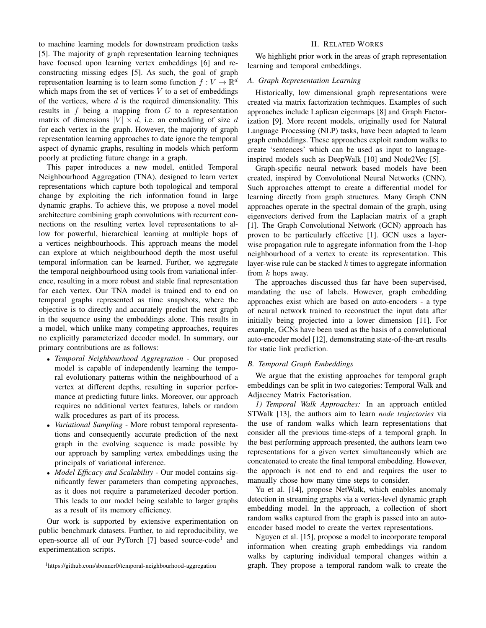to machine learning models for downstream prediction tasks [5]. The majority of graph representation learning techniques have focused upon learning vertex embeddings [6] and reconstructing missing edges [5]. As such, the goal of graph representation learning is to learn some function  $f: V \to \mathbb{R}^d$ which maps from the set of vertices  $V$  to a set of embeddings of the vertices, where  $d$  is the required dimensionality. This results in f being a mapping from  $G$  to a representation matrix of dimensions  $|V| \times d$ , i.e. an embedding of size d for each vertex in the graph. However, the majority of graph representation learning approaches to date ignore the temporal aspect of dynamic graphs, resulting in models which perform poorly at predicting future change in a graph.

This paper introduces a new model, entitled Temporal Neighbourhood Aggregation (TNA), designed to learn vertex representations which capture both topological and temporal change by exploiting the rich information found in large dynamic graphs. To achieve this, we propose a novel model architecture combining graph convolutions with recurrent connections on the resulting vertex level representations to allow for powerful, hierarchical learning at multiple hops of a vertices neighbourhoods. This approach means the model can explore at which neighbourhood depth the most useful temporal information can be learned. Further, we aggregate the temporal neighbourhood using tools from variational inference, resulting in a more robust and stable final representation for each vertex. Our TNA model is trained end to end on temporal graphs represented as time snapshots, where the objective is to directly and accurately predict the next graph in the sequence using the embeddings alone. This results in a model, which unlike many competing approaches, requires no explicitly parameterized decoder model. In summary, our primary contributions are as follows:

- *Temporal Neighbourhood Aggregration* Our proposed model is capable of independently learning the temporal evolutionary patterns within the neighbourhood of a vertex at different depths, resulting in superior performance at predicting future links. Moreover, our approach requires no additional vertex features, labels or random walk procedures as part of its process.
- *Variational Sampling* More robust temporal representations and consequently accurate prediction of the next graph in the evolving sequence is made possible by our approach by sampling vertex embeddings using the principals of variational inference.
- *Model Efficacy and Scalability* Our model contains significantly fewer parameters than competing approaches, as it does not require a parameterized decoder portion. This leads to our model being scalable to larger graphs as a result of its memory efficiency.

Our work is supported by extensive experimentation on public benchmark datasets. Further, to aid reproducibility, we open-source all of our PyTorch [7] based source-code<sup>1</sup> and experimentation scripts.

## II. RELATED WORKS

We highlight prior work in the areas of graph representation learning and temporal embeddings.

## *A. Graph Representation Learning*

Historically, low dimensional graph representations were created via matrix factorization techniques. Examples of such approaches include Laplican eigenmaps [8] and Graph Factorization [9]. More recent models, originally used for Natural Language Processing (NLP) tasks, have been adapted to learn graph embeddings. These approaches exploit random walks to create 'sentences' which can be used as input to languageinspired models such as DeepWalk [10] and Node2Vec [5].

Graph-specific neural network based models have been created, inspired by Convolutional Neural Networks (CNN). Such approaches attempt to create a differential model for learning directly from graph structures. Many Graph CNN approaches operate in the spectral domain of the graph, using eigenvectors derived from the Laplacian matrix of a graph [1]. The Graph Convolutional Network (GCN) approach has proven to be particularly effective [1]. GCN uses a layerwise propagation rule to aggregate information from the 1-hop neighbourhood of a vertex to create its representation. This layer-wise rule can be stacked  $k$  times to aggregate information from  $k$  hops away.

The approaches discussed thus far have been supervised, mandating the use of labels. However, graph embedding approaches exist which are based on auto-encoders - a type of neural network trained to reconstruct the input data after initially being projected into a lower dimension [11]. For example, GCNs have been used as the basis of a convolutional auto-encoder model [12], demonstrating state-of-the-art results for static link prediction.

#### *B. Temporal Graph Embeddings*

We argue that the existing approaches for temporal graph embeddings can be split in two categories: Temporal Walk and Adjacency Matrix Factorisation.

*1) Temporal Walk Approaches:* In an approach entitled STWalk [13], the authors aim to learn *node trajectories* via the use of random walks which learn representations that consider all the previous time-steps of a temporal graph. In the best performing approach presented, the authors learn two representations for a given vertex simultaneously which are concatenated to create the final temporal embedding. However, the approach is not end to end and requires the user to manually chose how many time steps to consider.

Yu et al. [14], propose NetWalk, which enables anomaly detection in streaming graphs via a vertex-level dynamic graph embedding model. In the approach, a collection of short random walks captured from the graph is passed into an autoencoder based model to create the vertex representations.

Nguyen et al. [15], propose a model to incorporate temporal information when creating graph embeddings via random walks by capturing individual temporal changes within a graph. They propose a temporal random walk to create the

<sup>1</sup>https://github.com/sbonner0/temporal-neighbourhood-aggregation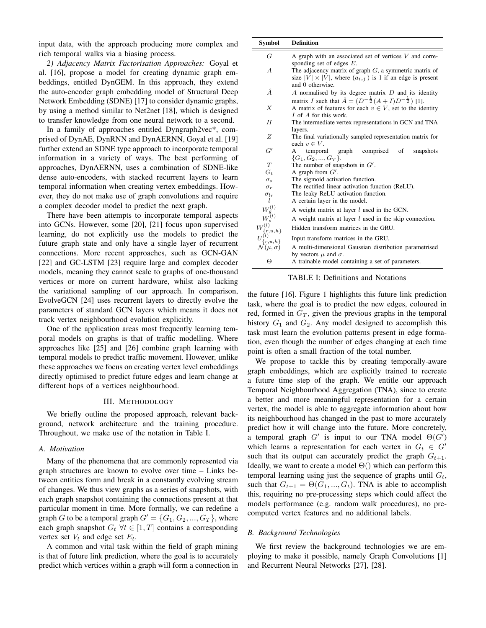input data, with the approach producing more complex and rich temporal walks via a biasing process.

*2) Adjacency Matrix Factorisation Approaches:* Goyal et al. [16], propose a model for creating dynamic graph embeddings, entitled DynGEM. In this approach, they extend the auto-encoder graph embedding model of Structural Deep Network Embedding (SDNE) [17] to consider dynamic graphs, by using a method similar to Net2net [18], which is designed to transfer knowledge from one neural network to a second.

In a family of approaches entitled Dyngraph2vec\*, comprised of DynAE, DynRNN and DynAERNN, Goyal et al. [19] further extend an SDNE type approach to incorporate temporal information in a variety of ways. The best performing of approaches, DynAERNN, uses a combination of SDNE-like dense auto-encoders, with stacked recurrent layers to learn temporal information when creating vertex embeddings. However, they do not make use of graph convolutions and require a complex decoder model to predict the next graph.

There have been attempts to incorporate temporal aspects into GCNs. However, some [20], [21] focus upon supervised learning, do not explicitly use the models to predict the future graph state and only have a single layer of recurrent connections. More recent approaches, such as GCN-GAN [22] and GC-LSTM [23] require large and complex decoder models, meaning they cannot scale to graphs of one-thousand vertices or more on current hardware, whilst also lacking the variational sampling of our approach. In comparison, EvolveGCN [24] uses recurrent layers to directly evolve the parameters of standard GCN layers which means it does not track vertex neighbourhood evolution explicitly.

One of the application areas most frequently learning temporal models on graphs is that of traffic modelling. Where approaches like [25] and [26] combine graph learning with temporal models to predict traffic movement. However, unlike these approaches we focus on creating vertex level embeddings directly optimised to predict future edges and learn change at different hops of a vertices neighbourhood.

#### III. METHODOLOGY

We briefly outline the proposed approach, relevant background, network architecture and the training procedure. Throughout, we make use of the notation in Table I.

## *A. Motivation*

Many of the phenomena that are commonly represented via graph structures are known to evolve over time – Links between entities form and break in a constantly evolving stream of changes. We thus view graphs as a series of snapshots, with each graph snapshot containing the connections present at that particular moment in time. More formally, we can redefine a graph G to be a temporal graph  $G' = \{G_1, G_2, ..., G_T\}$ , where each graph snapshot  $G_t \ \forall t \in [1, T]$  contains a corresponding vertex set  $V_t$  and edge set  $E_t$ .

A common and vital task within the field of graph mining is that of future link prediction, where the goal is to accurately predict which vertices within a graph will form a connection in

| <b>Symbol</b>              | <b>Definition</b>                                                                                                                                                       |  |  |  |  |
|----------------------------|-------------------------------------------------------------------------------------------------------------------------------------------------------------------------|--|--|--|--|
| G                          | A graph with an associated set of vertices $V$ and corre-<br>sponding set of edges $E$ .                                                                                |  |  |  |  |
| А                          | The adjacency matrix of graph $G$ , a symmetric matrix of<br>size $ V  \times  V $ , where $(a_{i,j})$ is 1 if an edge is present<br>and 0 otherwise.                   |  |  |  |  |
| Â                          | A normalised by its degree matrix $D$ and its identity                                                                                                                  |  |  |  |  |
| X                          | matrix I such that $\hat{A} = (D^{-\frac{1}{2}}(A + I)D^{-\frac{1}{2}})$ [1].<br>A matrix of features for each $v \in V$ , set to the identity<br>I of A for this work. |  |  |  |  |
| H                          | The intermediate vertex representations in GCN and TNA<br>layers.                                                                                                       |  |  |  |  |
| Ζ                          | The final variationally sampled representation matrix for                                                                                                               |  |  |  |  |
|                            | each $v \in V$ .                                                                                                                                                        |  |  |  |  |
| G'                         | comprised<br>of<br>temporal graph<br>snapshots<br>A<br>$\{G_1, G_2, , G_T\}.$                                                                                           |  |  |  |  |
| T                          | The number of snapshots in $G'$ .                                                                                                                                       |  |  |  |  |
| $G_t$                      | A graph from $G'$ .                                                                                                                                                     |  |  |  |  |
| $\sigma_s$                 | The sigmoid activation function.                                                                                                                                        |  |  |  |  |
| $\sigma_r$                 | The rectified linear activation function (ReLU).                                                                                                                        |  |  |  |  |
| $\sigma_{lr}$              | The leaky ReLU activation function.                                                                                                                                     |  |  |  |  |
| l                          | A certain layer in the model.                                                                                                                                           |  |  |  |  |
| $W_g^{(l)}$                | A weight matrix at layer <i>l</i> used in the GCN.                                                                                                                      |  |  |  |  |
| $W_s^{(l)}$                | A weight matrix at layer $l$ used in the skip connection.                                                                                                               |  |  |  |  |
| $W^{(l)}$<br>$\{r, u, h\}$ | Hidden transform matrices in the GRU.                                                                                                                                   |  |  |  |  |
| $\{r, u, h\}$              | Input transform matrices in the GRU.                                                                                                                                    |  |  |  |  |
| $\mathcal{N}(\mu, \sigma)$ | A multi-dimensional Gaussian distribution parametrised<br>by vectors $\mu$ and $\sigma$ .                                                                               |  |  |  |  |
| Θ                          | A trainable model containing a set of parameters.                                                                                                                       |  |  |  |  |

TABLE I: Definitions and Notations

the future [16]. Figure 1 highlights this future link prediction task, where the goal is to predict the new edges, coloured in red, formed in  $G_T$ , given the previous graphs in the temporal history  $G_1$  and  $G_2$ . Any model designed to accomplish this task must learn the evolution patterns present in edge formation, even though the number of edges changing at each time point is often a small fraction of the total number.

We propose to tackle this by creating temporally-aware graph embeddings, which are explicitly trained to recreate a future time step of the graph. We entitle our approach Temporal Neighbourhood Aggregation (TNA), since to create a better and more meaningful representation for a certain vertex, the model is able to aggregate information about how its neighbourhood has changed in the past to more accurately predict how it will change into the future. More concretely, a temporal graph  $G'$  is input to our TNA model  $\Theta(G')$ which learns a representation for each vertex in  $G_t \in G'$ such that its output can accurately predict the graph  $G_{t+1}$ . Ideally, we want to create a model  $\Theta()$  which can perform this temporal learning using just the sequence of graphs until  $G_t$ , such that  $G_{t+1} = \Theta(G_1, ..., G_t)$ . TNA is able to accomplish this, requiring no pre-processing steps which could affect the models performance (e.g. random walk procedures), no precomputed vertex features and no additional labels.

## *B. Background Technologies*

We first review the background technologies we are employing to make it possible, namely Graph Convolutions [1] and Recurrent Neural Networks [27], [28].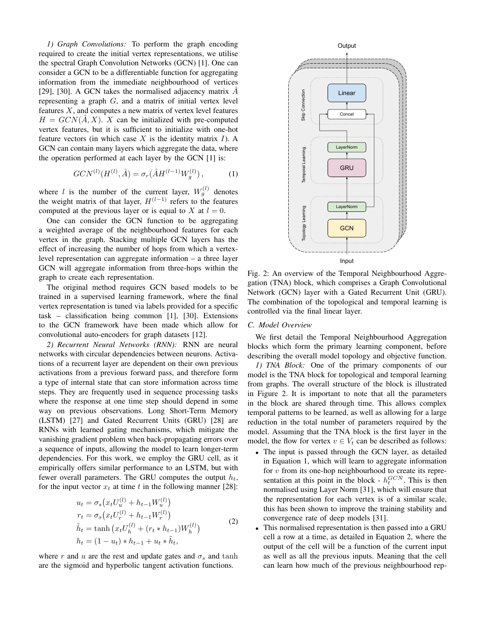*1) Graph Convolutions:* To perform the graph encoding required to create the initial vertex representations, we utilise the spectral Graph Convolution Networks (GCN) [1]. One can consider a GCN to be a differentiable function for aggregating information from the immediate neighbourhood of vertices [29], [30]. A GCN takes the normalised adjacency matrix  $\vec{A}$ representing a graph  $G$ , and a matrix of initial vertex level features  $X$ , and computes a new matrix of vertex level features  $H = GCN(A, X)$ . X can be initialized with pre-computed vertex features, but it is sufficient to initialize with one-hot feature vectors (in which case  $X$  is the identity matrix  $I$ ). A GCN can contain many layers which aggregate the data, where the operation performed at each layer by the GCN [1] is:

$$
GCN^{(l)}(H^{(l)},\hat{A}) = \sigma_r(\hat{A}H^{(l-1)}W_g^{(l)}),\tag{1}
$$

where l is the number of the current layer,  $W_g^{(l)}$  denotes the weight matrix of that layer,  $H^{(l-1)}$  refers to the features computed at the previous layer or is equal to X at  $l = 0$ .

One can consider the GCN function to be aggregating a weighted average of the neighbourhood features for each vertex in the graph. Stacking multiple GCN layers has the effect of increasing the number of hops from which a vertexlevel representation can aggregate information – a three layer GCN will aggregate information from three-hops within the graph to create each representation.

The original method requires GCN based models to be trained in a supervised learning framework, where the final vertex representation is tuned via labels provided for a specific task – classification being common [1], [30]. Extensions to the GCN framework have been made which allow for convolutional auto-encoders for graph datasets [12].

*2) Recurrent Neural Networks (RNN):* RNN are neural networks with circular dependencies between neurons. Activations of a recurrent layer are dependent on their own previous activations from a previous forward pass, and therefore form a type of internal state that can store information across time steps. They are frequently used in sequence processing tasks where the response at one time step should depend in some way on previous observations. Long Short-Term Memory (LSTM) [27] and Gated Recurrent Units (GRU) [28] are RNNs with learned gating mechanisms, which mitigate the vanishing gradient problem when back-propagating errors over a sequence of inputs, allowing the model to learn longer-term dependencies. For this work, we employ the GRU cell, as it empirically offers similar performance to an LSTM, but with fewer overall parameters. The GRU computes the output  $h_t$ , for the input vector  $x_t$  at time t in the following manner [28]: are veighted are means the most proposed from the signostop of the report of the sigmoid and the perturbolic factor interaction from the signostop of the effect of interactions and the most proposed information from three

$$
u_t = \sigma_s (x_t U_u^{(l)} + h_{t-1} W_u^{(l)})
$$
  
\n
$$
r_t = \sigma_s (x_t U_r^{(l)} + h_{t-1} W_r^{(l)})
$$
  
\n
$$
\tilde{h}_t = \tanh (x_t U_h^{(l)} + (r_t * h_{t-1}) W_h^{(l)})
$$
  
\n
$$
h_t = (1 - u_t) * h_{t-1} + u_t * \tilde{h}_t,
$$
\n(2)

where r and u are the rest and update gates and  $\sigma_s$  and tanh



Fig. 2: An overview of the Temporal Neighbourhood Aggregation (TNA) block, which comprises a Graph Convolutional Network (GCN) layer with a Gated Recurrent Unit (GRU). The combination of the topological and temporal learning is controlled via the final linear layer.

## *C. Model Overview*

We first detail the Temporal Neighbourhood Aggregation blocks which form the primary learning component, before describing the overall model topology and objective function.

*1) TNA Block:* One of the primary components of our model is the TNA block for topological and temporal learning from graphs. The overall structure of the block is illustrated in Figure 2. It is important to note that all the parameters in the block are shared through time. This allows complex temporal patterns to be learned, as well as allowing for a large reduction in the total number of parameters required by the model. Assuming that the TNA block is the first layer in the model, the flow for vertex  $v \in V_t$  can be described as follows:

- The input is passed through the GCN layer, as detailed in Equation 1, which will learn to aggregate information for  $v$  from its one-hop neighbourhood to create its representation at this point in the block -  $h_t^{GCN}$ . This is then normalised using Layer Norm [31], which will ensure that the representation for each vertex is of a similar scale, this has been shown to improve the training stability and convergence rate of deep models [31].
- This normalised representation is then passed into a GRU cell a row at a time, as detailed in Equation 2, where the output of the cell will be a function of the current input as well as all the previous inputs. Meaning that the cell can learn how much of the previous neighbourhood rep-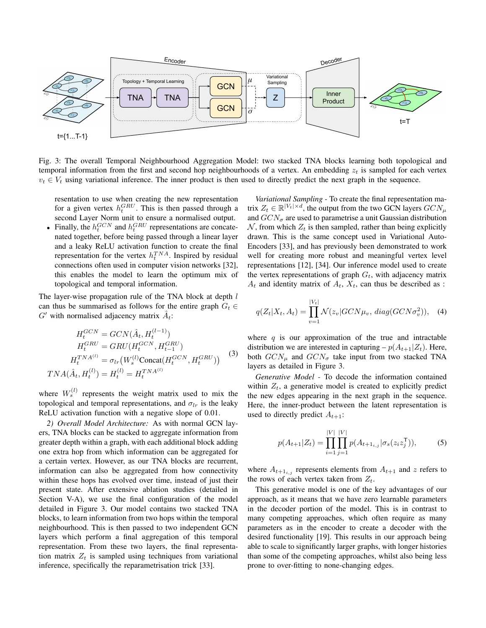

Fig. 3: The overall Temporal Neighbourhood Aggregation Model: two stacked TNA blocks learning both topological and temporal information from the first and second hop neighbourhoods of a vertex. An embedding  $z_t$  is sampled for each vertex  $v_t \in V_t$  using variational inference. The inner product is then used to directly predict the next graph in the sequence.

resentation to use when creating the new representation for a given vertex  $h_t^{GRU}$ . This is then passed through a second Layer Norm unit to ensure a normalised output.

• Finally, the  $h_t^{GCN}$  and  $h_t^{GRU}$  representations are concatenated together, before being passed through a linear layer and a leaky ReLU activation function to create the final representation for the vertex  $h_t^{TNA}$ . Inspired by residual connections often used in computer vision networks [32], this enables the model to learn the optimum mix of topological and temporal information.

The layer-wise propagation rule of the TNA block at depth  $l$ can thus be summarised as follows for the entire graph  $G_t \in$ G' with normalised adjacency matrix  $\hat{A}_t$ :

$$
H_t^{GCN} = GCN(\hat{A}_t, H_t^{(l-1)})
$$
  
\n
$$
H_t^{GRU} = GRU(H_t^{GCN}, H_{t-1}^{GRU})
$$
  
\n
$$
H_t^{TNA^{(l)}} = \sigma_{lr}(W_s^{(l)} \text{Concat}(H_t^{GCN}, H_t^{GRU}))
$$
\n
$$
TNA(\hat{A}_t, H_t^{(l)}) = H_t^{(l)} = H_t^{TNA^{(l)}}
$$
\n(3)

where  $W_s^{(l)}$  represents the weight matrix used to mix the topological and temporal representations, and  $\sigma_{lr}$  is the leaky ReLU activation function with a negative slope of 0.01.

*2) Overall Model Architecture:* As with normal GCN layers, TNA blocks can be stacked to aggregate information from greater depth within a graph, with each additional block adding one extra hop from which information can be aggregated for a certain vertex. However, as our TNA blocks are recurrent, information can also be aggregated from how connectivity within these hops has evolved over time, instead of just their present state. After extensive ablation studies (detailed in Section V-A), we use the final configuration of the model detailed in Figure 3. Our model contains two stacked TNA blocks, to learn information from two hops within the temporal neighbourhood. This is then passed to two independent GCN layers which perform a final aggregation of this temporal representation. From these two layers, the final representation matrix  $Z_t$  is sampled using techniques from variational inference, specifically the reparametrisation trick [33].

*Variational Sampling -* To create the final representation matrix  $Z_t \in \mathbb{R}^{|V_t| \times d}$ , the output from the two GCN layers  $GCN_{\mu}$ and  $GCN_{\sigma}$  are used to parametrise a unit Gaussian distribution  $N$ , from which  $Z_t$  is then sampled, rather than being explicitly drawn. This is the same concept used in Variational Auto-Encoders [33], and has previously been demonstrated to work well for creating more robust and meaningful vertex level representations [12], [34]. Our inference model used to create the vertex representations of graph  $G_t$ , with adjacency matrix  $A_t$  and identity matrix of  $A_t$ ,  $X_t$ , can thus be described as :

$$
q(Z_t|X_t, A_t) = \prod_{v=1}^{|V_t|} \mathcal{N}(z_v|GCN\mu_v, diag(GCN\sigma_v^2)), \quad (4)
$$

where  $q$  is our approximation of the true and intractable distribution we are interested in capturing  $-p(A_{t+1}|Z_t)$ . Here, both  $GCN_{\mu}$  and  $GCN_{\sigma}$  take input from two stacked TNA layers as detailed in Figure 3.

*Generative Model -* To decode the information contained within  $Z_t$ , a generative model is created to explicitly predict the new edges appearing in the next graph in the sequence. Here, the inner-product between the latent representation is used to directly predict  $A_{t+1}$ :

$$
p(A_{t+1}|Z_t) = \prod_{i=1}^{|V|} \prod_{j=1}^{|V|} p(A_{t+1_{i,j}} | \sigma_s(z_i z_j^{\mathsf{T}})),
$$
 (5)

where  $A_{t+1,i,j}$  represents elements from  $A_{t+1}$  and z refers to the rows of each vertex taken from  $Z_t$ .

This generative model is one of the key advantages of our approach, as it means that we have zero learnable parameters in the decoder portion of the model. This is in contrast to many competing approaches, which often require as many parameters as in the encoder to create a decoder with the desired functionality [19]. This results in our approach being able to scale to significantly larger graphs, with longer histories than some of the competing approaches, whilst also being less prone to over-fitting to none-changing edges.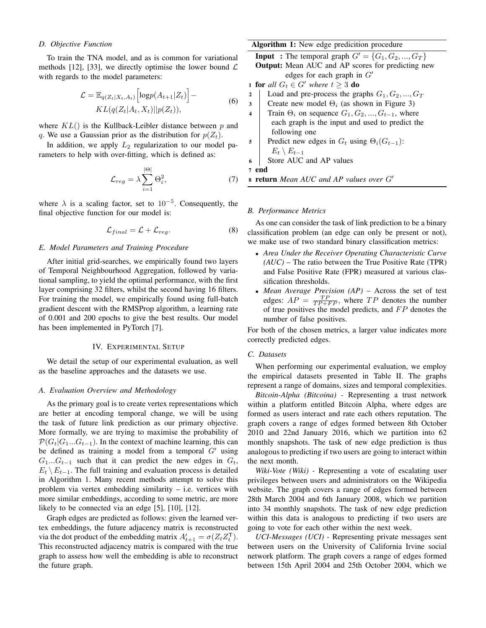## *D. Objective Function*

To train the TNA model, and as is common for variational methods [12], [33], we directly optimise the lower bound  $\mathcal L$ with regards to the model parameters:

$$
\mathcal{L} = \mathbb{E}_{q(Z_t|X_t, A_t)} \left[ \log p(A_{t+1}|Z_t) \right] - KL(q(Z_t|A_t, X_t)||p(Z_t)),
$$
\n(6)

where  $KL()$  is the Kullback-Leibler distance between p and q. We use a Gaussian prior as the distribution for  $p(Z_t)$ .

In addition, we apply  $L_2$  regularization to our model parameters to help with over-fitting, which is defined as:

$$
\mathcal{L}_{reg} = \lambda \sum_{i=1}^{|\Theta|} \Theta_i^2, \tag{7}
$$

where  $\lambda$  is a scaling factor, set to 10<sup>-5</sup>. Consequently, the final objective function for our model is:

$$
\mathcal{L}_{final} = \mathcal{L} + \mathcal{L}_{reg}.
$$
 (8)

## *E. Model Parameters and Training Procedure*

After initial grid-searches, we empirically found two layers of Temporal Neighbourhood Aggregation, followed by variational sampling, to yield the optimal performance, with the first layer comprising 32 filters, whilst the second having 16 filters. For training the model, we empirically found using full-batch gradient descent with the RMSProp algorithm, a learning rate of 0.001 and 200 epochs to give the best results. Our model has been implemented in PyTorch [7].

#### IV. EXPERIMENTAL SETUP

We detail the setup of our experimental evaluation, as well as the baseline approaches and the datasets we use.

## *A. Evaluation Overview and Methodology*

As the primary goal is to create vertex representations which are better at encoding temporal change, we will be using the task of future link prediction as our primary objective. More formally, we are trying to maximise the probability of  $\mathcal{P}(G_t|G_1...G_{t-1})$ . In the context of machine learning, this can be defined as training a model from a temporal  $G'$  using  $G_1...G_{t-1}$  such that it can predict the new edges in  $G_t$ ,  $E_t \setminus E_{t-1}$ . The full training and evaluation process is detailed in Algorithm 1. Many recent methods attempt to solve this problem via vertex embedding similarity – i.e. vertices with more similar embeddings, according to some metric, are more likely to be connected via an edge [5], [10], [12].

Graph edges are predicted as follows: given the learned vertex embeddings, the future adjacency matrix is reconstructed via the dot product of the embedding matrix  $A'_{t+1} = \sigma(Z_t Z_t^{\mathsf{T}})$ . This reconstructed adjacency matrix is compared with the true graph to assess how well the embedding is able to reconstruct the future graph.

# Algorithm 1: New edge predicition procedure

**Input**: The temporal graph  $G' = \{G_1, G_2, ..., G_T\}$ Output: Mean AUC and AP scores for predicting new edges for each graph in  $G'$ 

- 1 **for** all  $G_t \in G'$  where  $t \geq 3$  **do**
- 2 Load and pre-process the graphs  $G_1, G_2, ..., G_T$
- 3 Create new model  $\Theta_i$  (as shown in Figure 3)
- 4 Train  $\Theta_i$  on sequence  $G_1, G_2, ..., G_{t-1}$ , where each graph is the input and used to predict the following one
- 5 Predict new edges in  $G_t$  using  $\Theta_i(G_{t-1})$ :  $E_t \setminus E_{t-1}$
- 6 Store AUC and AP values

7 end

8 return Mean AUC and AP values over G'

#### *B. Performance Metrics*

As one can consider the task of link prediction to be a binary classification problem (an edge can only be present or not), we make use of two standard binary classification metrics:

- *Area Under the Receiver Operating Characteristic Curve (AUC)* – The ratio between the True Positive Rate (TPR) and False Positive Rate (FPR) measured at various classification thresholds.
- *Mean Average Precision (AP)* Across the set of test edges:  $AP = \frac{TP}{TP + FP}$ , where TP denotes the number of true positives the model predicts, and  $FP$  denotes the number of false positives.

For both of the chosen metrics, a larger value indicates more correctly predicted edges.

## *C. Datasets*

When performing our experimental evaluation, we employ the empirical datasets presented in Table II. The graphs represent a range of domains, sizes and temporal complexities.

*Bitcoin-Alpha (Bitcoina) -* Representing a trust network within a platform entitled Bitcoin Alpha, where edges are formed as users interact and rate each others reputation. The graph covers a range of edges formed between 8th October 2010 and 22nd January 2016, which we partition into 62 monthly snapshots. The task of new edge prediction is thus analogous to predicting if two users are going to interact within the next month.

*Wiki-Vote (Wiki) -* Representing a vote of escalating user privileges between users and administrators on the Wikipedia website. The graph covers a range of edges formed between 28th March 2004 and 6th January 2008, which we partition into 34 monthly snapshots. The task of new edge prediction within this data is analogous to predicting if two users are going to vote for each other within the next week.

*UCI-Messages (UCI) -* Representing private messages sent between users on the University of California Irvine social network platform. The graph covers a range of edges formed between 15th April 2004 and 25th October 2004, which we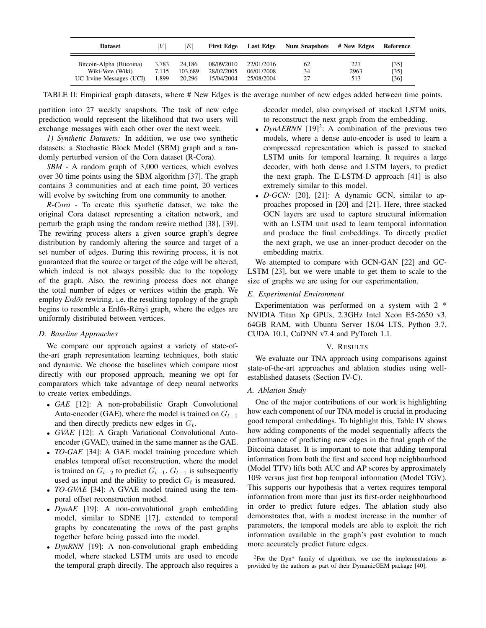| <b>Dataset</b>           | V     | E       | <b>First Edge</b> | Last Edge  | <b>Num Snapshots</b> | # New Edges | Reference |
|--------------------------|-------|---------|-------------------|------------|----------------------|-------------|-----------|
| Bitcoin-Alpha (Bitcoina) | 3.783 | 24.186  | 08/09/2010        | 22/01/2016 | 62                   | 227         | [35]      |
| Wiki-Vote (Wiki)         | 7.115 | 103.689 | 28/02/2005        | 06/01/2008 | 34                   | 2963        | [35]      |
| UC Irvine Messages (UCI) | 1.899 | 20,296  | 15/04/2004        | 25/08/2004 | າາ                   | 513         | [36]      |

TABLE II: Empirical graph datasets, where # New Edges is the average number of new edges added between time points.

partition into 27 weekly snapshots. The task of new edge prediction would represent the likelihood that two users will exchange messages with each other over the next week.

*1) Synthetic Datasets:* In addition, we use two synthetic datasets: a Stochastic Block Model (SBM) graph and a randomly perturbed version of the Cora dataset (R-Cora).

*SBM -* A random graph of 3,000 vertices, which evolves over 30 time points using the SBM algorithm [37]. The graph contains 3 communities and at each time point, 20 vertices will evolve by switching from one community to another.

*R-Cora -* To create this synthetic dataset, we take the original Cora dataset representing a citation network, and perturb the graph using the random rewire method [38], [39]. The rewiring process alters a given source graph's degree distribution by randomly altering the source and target of a set number of edges. During this rewiring process, it is not guaranteed that the source or target of the edge will be altered, which indeed is not always possible due to the topology of the graph. Also, the rewiring process does not change the total number of edges or vertices within the graph. We employ *Erdős* rewiring, i.e. the resulting topology of the graph begins to resemble a Erdős-Rényi graph, where the edges are uniformly distributed between vertices.

# *D. Baseline Approaches*

We compare our approach against a variety of state-ofthe-art graph representation learning techniques, both static and dynamic. We choose the baselines which compare most directly with our proposed approach, meaning we opt for comparators which take advantage of deep neural networks to create vertex embeddings.

- *GAE* [12]: A non-probabilistic Graph Convolutional Auto-encoder (GAE), where the model is trained on  $G_{t-1}$ and then directly predicts new edges in  $G_t$ .
- *GVAE* [12]: A Graph Variational Convolutional Autoencoder (GVAE), trained in the same manner as the GAE.
- *TO-GAE* [34]: A GAE model training procedure which enables temporal offset reconstruction, where the model is trained on  $G_{t-2}$  to predict  $G_{t-1}$ .  $G_{t-1}$  is subsequently used as input and the ability to predict  $G_t$  is measured.
- *TO-GVAE* [34]: A GVAE model trained using the temporal offset reconstruction method.
- *DynAE* [19]: A non-convolutional graph embedding model, similar to SDNE [17], extended to temporal graphs by concatenating the rows of the past graphs together before being passed into the model.
- *DynRNN* [19]: A non-convolutional graph embedding model, where stacked LSTM units are used to encode the temporal graph directly. The approach also requires a

decoder model, also comprised of stacked LSTM units, to reconstruct the next graph from the embedding.

- *DynAERNN*  $[19]$ <sup>2</sup>: A combination of the previous two models, where a dense auto-encoder is used to learn a compressed representation which is passed to stacked LSTM units for temporal learning. It requires a large decoder, with both dense and LSTM layers, to predict the next graph. The E-LSTM-D approach [41] is also extremely similar to this model.
- *D-GCN:* [20], [21]: A dynamic GCN, similar to approaches proposed in [20] and [21]. Here, three stacked GCN layers are used to capture structural information with an LSTM unit used to learn temporal information and produce the final embeddings. To directly predict the next graph, we use an inner-product decoder on the embedding matrix.

We attempted to compare with GCN-GAN [22] and GC-LSTM [23], but we were unable to get them to scale to the size of graphs we are using for our experimentation.

# *E. Experimental Environment*

Experimentation was performed on a system with 2 \* NVIDIA Titan Xp GPUs, 2.3GHz Intel Xeon E5-2650 v3, 64GB RAM, with Ubuntu Server 18.04 LTS, Python 3.7, CUDA 10.1, CuDNN v7.4 and PyTorch 1.1.

# V. RESULTS

We evaluate our TNA approach using comparisons against state-of-the-art approaches and ablation studies using wellestablished datasets (Section IV-C).

# *A. Ablation Study*

One of the major contributions of our work is highlighting how each component of our TNA model is crucial in producing good temporal embeddings. To highlight this, Table IV shows how adding components of the model sequentially affects the performance of predicting new edges in the final graph of the Bitcoina dataset. It is important to note that adding temporal information from both the first and second hop neighbourhood (Model TTV) lifts both AUC and AP scores by approximately 10% versus just first hop temporal information (Model TGV). This supports our hypothesis that a vertex requires temporal information from more than just its first-order neighbourhood in order to predict future edges. The ablation study also demonstrates that, with a modest increase in the number of parameters, the temporal models are able to exploit the rich information available in the graph's past evolution to much more accurately predict future edges.

 $2$ For the Dyn\* family of algorithms, we use the implementations as provided by the authors as part of their DynamicGEM package [40].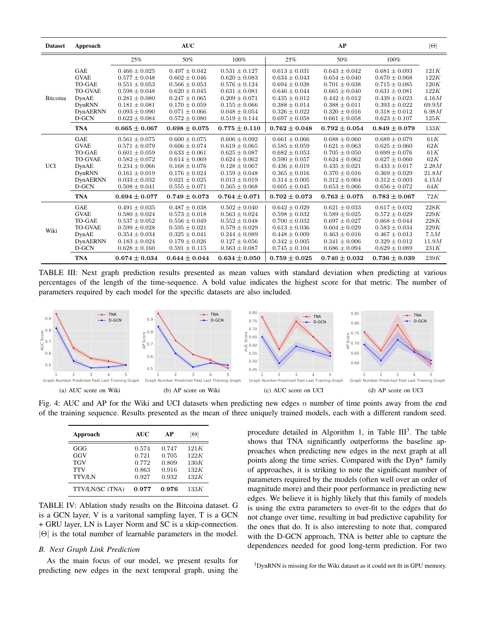| <b>Dataset</b> | Approach        |                   | <b>AUC</b>        |                   |                   | AP                |                   | $ \Theta $ |
|----------------|-----------------|-------------------|-------------------|-------------------|-------------------|-------------------|-------------------|------------|
|                |                 | 25%               | 50%               | 100%              | 25%               | 50%               | 100%              |            |
|                | <b>GAE</b>      | $0.466 \pm 0.025$ | $0.497 \pm 0.042$ | $0.531 \pm 0.127$ | $0.613 \pm 0.031$ | $0.643 \pm 0.042$ | $0.681 \pm 0.093$ | 121K       |
|                | <b>GVAE</b>     | $0.577 \pm 0.048$ | $0.602 \pm 0.046$ | $0.620 \pm 0.083$ | $0.634 \pm 0.043$ | $0.654 \pm 0.040$ | $0.670 \pm 0.068$ | 122K       |
|                | TO-GAE          | $0.551 \pm 0.053$ | $0.566 \pm 0.053$ | $0.576 \pm 0.124$ | $0.694 \pm 0.038$ | $0.701 \pm 0.038$ | $0.715 \pm 0.085$ | 120K       |
|                | <b>TO-GVAE</b>  | $0.598 \pm 0.048$ | $0.620 \pm 0.045$ | $0.631 \pm 0.081$ | $0.646 \pm 0.044$ | $0.665 \pm 0.040$ | $0.631 \pm 0.081$ | 122K       |
| Bitcoina       | DynAE           | $0.281 \pm 0.080$ | $0.247 \pm 0.065$ | $0.209 \pm 0.071$ | $0.435 \pm 0.012$ | $0.442 \pm 0.012$ | $0.439 \pm 0.023$ | 4.16M      |
|                | DynRNN          | $0.181 \pm 0.081$ | $0.170 \pm 0.059$ | $0.155 \pm 0.066$ | $0.388 \pm 0.014$ | $0.388 \pm 0.011$ | $0.393 \pm 0.022$ | 69.9M      |
|                | <b>DynAERNN</b> | $0.093 \pm 0.090$ | $0.071 \pm 0.066$ | $0.048 \pm 0.054$ | $0.326 \pm 0.022$ | $0.320 \pm 0.016$ | $0.318 \pm 0.012$ | 6.98M      |
|                | D-GCN           | $0.622 \pm 0.084$ | $0.572 \pm 0.080$ | $0.519 \pm 0.144$ | $0.697 \pm 0.058$ | $0.661 \pm 0.058$ | $0.623 \pm 0.107$ | 125K       |
|                | <b>TNA</b>      | $0.665 \pm 0.067$ | $0.698 \pm 0.075$ | $0.775 \pm 0.110$ | $0.762 \pm 0.048$ | $0.792 \pm 0.054$ | $0.849 \pm 0.079$ | 133K       |
|                | <b>GAE</b>      | $0.561 \pm 0.075$ | $0.600 \pm 0.075$ | $0.606 \pm 0.092$ | $0.661 \pm 0.066$ | $0.688 \pm 0.060$ | $0.689 \pm 0.079$ | 61K        |
|                | <b>GVAE</b>     | $0.571 \pm 0.079$ | $0.606 \pm 0.074$ | $0.619 \pm 0.065$ | $0.585 \pm 0.059$ | $0.621 \pm 0.063$ | $0.625 \pm 0.060$ | 62K        |
|                | <b>TO-GAE</b>   | $0.601 \pm 0.059$ | $0.633 \pm 0.061$ | $0.625 \pm 0.087$ | $0.682 \pm 0.053$ | $0.705 \pm 0.050$ | $0.699 \pm 0.076$ | 61K        |
|                | <b>TO-GVAE</b>  | $0.582 \pm 0.072$ | $0.614 \pm 0.069$ | $0.624 \pm 0.062$ | $0.590 \pm 0.057$ | $0.624 \pm 0.062$ | $0.627 \pm 0.060$ | 62K        |
| <b>UCI</b>     | DynAE           | $0.234 \pm 0.066$ | $0.168 \pm 0.076$ | $0.128 \pm 0.067$ | $0.436 \pm 0.019$ | $0.435 \pm 0.021$ | $0.433 \pm 0.017$ | 2.28M      |
|                | DynRNN          | $0.161 \pm 0.019$ | $0.176 \pm 0.024$ | $0.159 \pm 0.048$ | $0.365 \pm 0.016$ | $0.370 \pm 0.016$ | $0.369 \pm 0.029$ | 21.8M      |
|                | <b>DynAERNN</b> | $0.033 \pm 0.032$ | $0.021 \pm 0.025$ | $0.013 \pm 0.019$ | $0.314 \pm 0.005$ | $0.312 \pm 0.004$ | $0.312 \pm 0.003$ | 4.15M      |
|                | D-GCN           | $0.508 \pm 0.041$ | $0.555 \pm 0.071$ | $0.565 \pm 0.068$ | $0.605 \pm 0.045$ | $0.653 \pm 0.066$ | $0.656 \pm 0.072$ | 64K        |
|                | <b>TNA</b>      | $0.694 \pm 0.077$ | $0.749 \pm 0.073$ | $0.764 \pm 0.071$ | $0.702 \pm 0.073$ | $0.763 \pm 0.075$ | $0.783 \pm 0.067$ | 72K        |
|                | <b>GAE</b>      | $0.491 \pm 0.035$ | $0.487 \pm 0.038$ | $0.502 \pm 0.040$ | $0.642 \pm 0.029$ | $0.621 \pm 0.033$ | $0.617 \pm 0.032$ | 228K       |
|                | <b>GVAE</b>     | $0.580 \pm 0.024$ | $0.573 \pm 0.018$ | $0.563 \pm 0.024$ | $0.598 \pm 0.032$ | $0.589 \pm 0.025$ | $0.572 \pm 0.029$ | 229K       |
|                | TO-GAE          | $0.537 \pm 0.052$ | $0.556 \pm 0.049$ | $0.552 \pm 0.048$ | $0.700 \pm 0.032$ | $0.697 \pm 0.027$ | $0.668 \pm 0.044$ | 228K       |
| Wiki           | <b>TO-GVAE</b>  | $0.599 \pm 0.028$ | $0.595 \pm 0.021$ | $0.579 \pm 0.029$ | $0.613 \pm 0.036$ | $0.604 \pm 0.029$ | $0.583 \pm 0.034$ | 229K       |
|                | DynAE           | $0.354 \pm 0.034$ | $0.325 \pm 0.041$ | $0.244 \pm 0.089$ | $0.448 \pm 0.009$ | $0.463 \pm 0.016$ | $0.467 \pm 0.013$ | 7.5M       |
|                | <b>DynAERNN</b> | $0.183 \pm 0.024$ | $0.179 \pm 0.026$ | $0.127 \pm 0.056$ | $0.342 \pm 0.005$ | $0.341 \pm 0.006$ | $0.329 \pm 0.012$ | 11.9M      |
|                | D-GCN           | $0.628 \pm 0.160$ | $0.591 \pm 0.115$ | $0.563 \pm 0.087$ | $0.745 \pm 0.104$ | $0.686 \pm 0.094$ | $0.629 \pm 0.089$ | 231K       |
|                | <b>TNA</b>      | $0.674 \pm 0.034$ | $0.644 \pm 0.044$ | $0.634 \pm 0.050$ | $0.759 \pm 0.025$ | $0.740 \pm 0.032$ | $0.736 \pm 0.039$ | 239K       |

TABLE III: Next graph prediction results presented as mean values with standard deviation when predicting at various percentages of the length of the time-sequence. A bold value indicates the highest score for that metric. The number of parameters required by each model for the specific datasets are also included.



Fig. 4: AUC and AP for the Wiki and UCI datasets when predicting new edges n number of time points away from the end of the training sequence. Results presented as the mean of three uniquely trained models, each with a different random seed.

| Approach        | <b>AUC</b> | AP    | Θ    |
|-----------------|------------|-------|------|
| GGG             | 0.574      | 0.747 | 121K |
| GGV             | 0.721      | 0.705 | 122K |
| <b>TGV</b>      | 0.772      | 0.809 | 130K |
| <b>TTV</b>      | 0.863      | 0.916 | 132K |
| <b>TTV/LN</b>   | 0.927      | 0.932 | 132K |
| TTV/LN/SC (TNA) | 0.977      | 0.976 | 133K |

TABLE IV: Ablation study results on the Bitcoina dataset. G is a GCN layer, V is a varitonal sampling layer, T is a GCN + GRU layer, LN is Layer Norm and SC is a skip-connection. |Θ| is the total number of learnable parameters in the model.

## *B. Next Graph Link Prediction*

As the main focus of our model, we present results for predicting new edges in the next temporal graph, using the

procedure detailed in Algorithm 1, in Table  $III^3$ . The table shows that TNA significantly outperforms the baseline approaches when predicting new edges in the next graph at all points along the time series. Compared with the Dyn\* family of approaches, it is striking to note the significant number of parameters required by the models (often well over an order of magnitude more) and their poor performance in predicting new edges. We believe it is highly likely that this family of models is using the extra parameters to over-fit to the edges that do not change over time, resulting in bad predictive capability for the ones that do. It is also interesting to note that, compared with the D-GCN approach, TNA is better able to capture the dependences needed for good long-term prediction. For two

<sup>3</sup>DynRNN is missing for the Wiki dataset as it could not fit in GPU memory.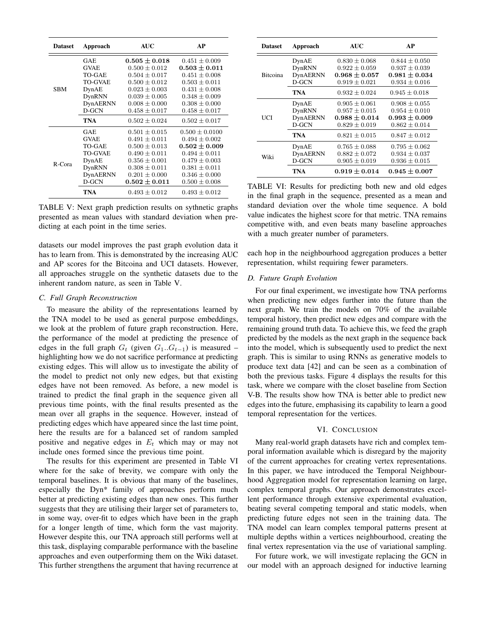| <b>Dataset</b> | Approach       | <b>AUC</b>        | AP                 |
|----------------|----------------|-------------------|--------------------|
|                | <b>GAE</b>     | $0.505\pm0.018$   | $0.451 \pm 0.009$  |
|                | <b>GVAE</b>    | $0.500 \pm 0.012$ | $0.503 \pm 0.011$  |
|                | TO-GAE         | $0.504 \pm 0.017$ | $0.451 + 0.008$    |
|                | <b>TO-GVAE</b> | $0.500 \pm 0.012$ | $0.503 \pm 0.011$  |
| SBM            | DynAE          | $0.023 \pm 0.003$ | $0.431 \pm 0.008$  |
|                | DynRNN         | $0.039 \pm 0.005$ | $0.348 \pm 0.009$  |
|                | DynAERNN       | $0.008 \pm 0.000$ | $0.308 \pm 0.000$  |
|                | D-GCN          | $0.458 \pm 0.017$ | $0.458 \pm 0.017$  |
|                | TNA            | $0.502 \pm 0.024$ | $0.502 \pm 0.017$  |
|                | <b>GAE</b>     | $0.501 \pm 0.015$ | $0.500 \pm 0.0100$ |
|                | <b>GVAE</b>    | $0.491 \pm 0.011$ | $0.494 \pm 0.002$  |
| R-Cora         | TO-GAE         | $0.500 \pm 0.013$ | $0.502 \pm 0.009$  |
|                | TO-GVAE        | $0.490 \pm 0.011$ | $0.494 \pm 0.011$  |
|                | DynAE          | $0.356 \pm 0.001$ | $0.479 \pm 0.003$  |
|                | DynRNN         | $0.308 \pm 0.011$ | $0.381 \pm 0.011$  |
|                | DynAERNN       | $0.201 \pm 0.000$ | $0.346 \pm 0.000$  |
|                | D-GCN          | $0.502 \pm 0.011$ | $0.500 \pm 0.008$  |
|                | <b>TNA</b>     | $0.493 \pm 0.012$ | $0.493 \pm 0.012$  |

TABLE V: Next graph prediction results on sythnetic graphs presented as mean values with standard deviation when predicting at each point in the time series.

datasets our model improves the past graph evolution data it has to learn from. This is demonstrated by the increasing AUC and AP scores for the Bitcoina and UCI datasets. However, all approaches struggle on the synthetic datasets due to the inherent random nature, as seen in Table V.

## *C. Full Graph Reconstruction*

To measure the ability of the representations learned by the TNA model to be used as general purpose embeddings, we look at the problem of future graph reconstruction. Here, the performance of the model at predicting the presence of edges in the full graph  $G_t$  (given  $G_1...G_{t-1}$ ) is measured – highlighting how we do not sacrifice performance at predicting existing edges. This will allow us to investigate the ability of the model to predict not only new edges, but that existing edges have not been removed. As before, a new model is trained to predict the final graph in the sequence given all previous time points, with the final results presented as the mean over all graphs in the sequence. However, instead of predicting edges which have appeared since the last time point, here the results are for a balanced set of random sampled positive and negative edges in  $E_t$  which may or may not include ones formed since the previous time point.

The results for this experiment are presented in Table VI where for the sake of brevity, we compare with only the temporal baselines. It is obvious that many of the baselines, especially the Dyn\* family of approaches perform much better at predicting existing edges than new ones. This further suggests that they are utilising their larger set of parameters to, in some way, over-fit to edges which have been in the graph for a longer length of time, which form the vast majority. However despite this, our TNA approach still performs well at this task, displaying comparable performance with the baseline approaches and even outperforming them on the Wiki dataset. This further strengthens the argument that having recurrence at

| <b>Dataset</b>  | Approach        | <b>AUC</b>        | AP                |  |
|-----------------|-----------------|-------------------|-------------------|--|
|                 | DynAE           | $0.830 \pm 0.068$ | $0.844 \pm 0.050$ |  |
|                 | DynRNN          | $0.922 \pm 0.059$ | $0.937 \pm 0.039$ |  |
| <b>Bitcoina</b> | DynAERNN        | $0.968 \pm 0.057$ | $0.981 \pm 0.034$ |  |
|                 | D-GCN           | $0.919 \pm 0.021$ | $0.934 \pm 0.016$ |  |
|                 | TNA             | $0.932 + 0.024$   | $0.945 + 0.018$   |  |
|                 | DynAE           | $0.905 \pm 0.061$ | $0.908 \pm 0.055$ |  |
|                 | DynRNN          | $0.957 \pm 0.015$ | $0.954 \pm 0.010$ |  |
| UCI             | <b>DynAERNN</b> | $0.988\pm0.014$   | $0.993 \pm 0.009$ |  |
|                 | D-GCN           | $0.829 \pm 0.019$ | $0.862 \pm 0.014$ |  |
|                 | TNA             | $0.821 + 0.015$   | $0.847 + 0.012$   |  |
|                 | DynAE           | $0.765 \pm 0.088$ | $0.795 \pm 0.062$ |  |
|                 | DynAERNN        | $0.882 \pm 0.072$ | $0.934 \pm 0.037$ |  |
| Wiki            | D-GCN           | $0.905 \pm 0.019$ | $0.936 \pm 0.015$ |  |
|                 | TNA             | $0.919 \pm 0.014$ | $0.945 \pm 0.007$ |  |

TABLE VI: Results for predicting both new and old edges in the final graph in the sequence, presented as a mean and standard deviation over the whole time sequence. A bold value indicates the highest score for that metric. TNA remains competitive with, and even beats many baseline approaches with a much greater number of parameters.

each hop in the neighbourhood aggregation produces a better representation, whilst requiring fewer parameters.

## *D. Future Graph Evolution*

For our final experiment, we investigate how TNA performs when predicting new edges further into the future than the next graph. We train the models on 70% of the available temporal history, then predict new edges and compare with the remaining ground truth data. To achieve this, we feed the graph predicted by the models as the next graph in the sequence back into the model, which is subsequently used to predict the next graph. This is similar to using RNNs as generative models to produce text data [42] and can be seen as a combination of both the previous tasks. Figure 4 displays the results for this task, where we compare with the closet baseline from Section V-B. The results show how TNA is better able to predict new edges into the future, emphasising its capability to learn a good temporal representation for the vertices.

#### VI. CONCLUSION

Many real-world graph datasets have rich and complex temporal information available which is disregard by the majority of the current approaches for creating vertex representations. In this paper, we have introduced the Temporal Neighbourhood Aggregation model for representation learning on large, complex temporal graphs. Our approach demonstrates excellent performance through extensive experimental evaluation, beating several competing temporal and static models, when predicting future edges not seen in the training data. The TNA model can learn complex temporal patterns present at multiple depths within a vertices neighbourhood, creating the final vertex representation via the use of variational sampling.

For future work, we will investigate replacing the GCN in our model with an approach designed for inductive learning